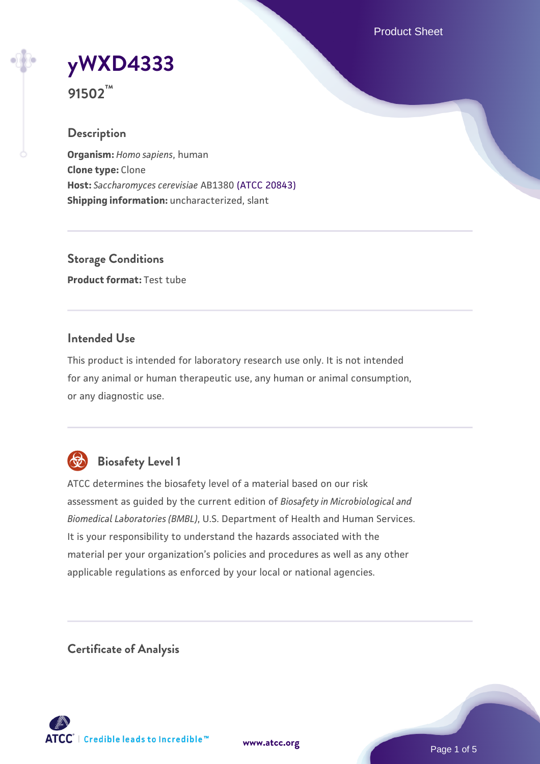Product Sheet

**[yWXD4333](https://www.atcc.org/products/91502)**

**91502™**

## **Description**

**Organism:** *Homo sapiens*, human **Clone type:** Clone **Host:** *Saccharomyces cerevisiae* AB1380 [\(ATCC 20843\)](https://www.atcc.org/products/20843) **Shipping information:** uncharacterized, slant

**Storage Conditions Product format:** Test tube

## **Intended Use**

This product is intended for laboratory research use only. It is not intended for any animal or human therapeutic use, any human or animal consumption, or any diagnostic use.



## **Biosafety Level 1**

ATCC determines the biosafety level of a material based on our risk assessment as guided by the current edition of *Biosafety in Microbiological and Biomedical Laboratories (BMBL)*, U.S. Department of Health and Human Services. It is your responsibility to understand the hazards associated with the material per your organization's policies and procedures as well as any other applicable regulations as enforced by your local or national agencies.

**Certificate of Analysis**

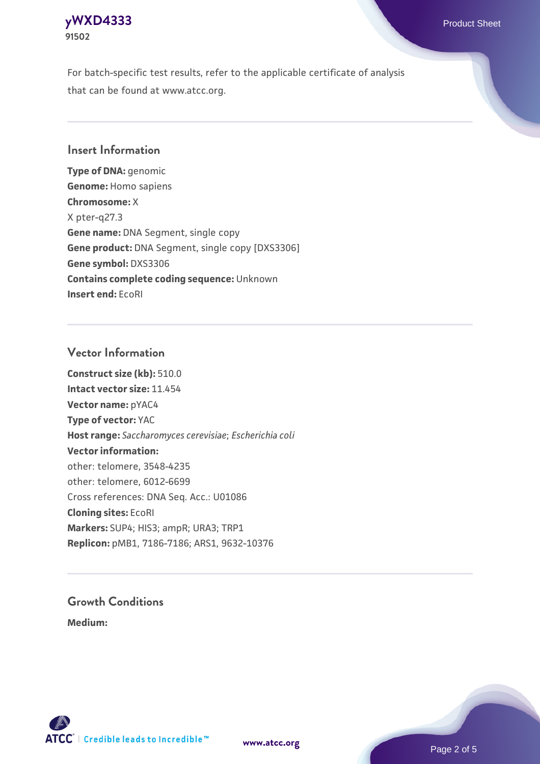## **[yWXD4333](https://www.atcc.org/products/91502)** Product Sheet **91502**

For batch-specific test results, refer to the applicable certificate of analysis that can be found at www.atcc.org.

## **Insert Information**

**Type of DNA:** genomic **Genome:** Homo sapiens **Chromosome:** X X pter-q27.3 **Gene name:** DNA Segment, single copy **Gene product:** DNA Segment, single copy [DXS3306] **Gene symbol:** DXS3306 **Contains complete coding sequence:** Unknown **Insert end:** EcoRI

#### **Vector Information**

**Construct size (kb):** 510.0 **Intact vector size:** 11.454 **Vector name:** pYAC4 **Type of vector:** YAC **Host range:** *Saccharomyces cerevisiae*; *Escherichia coli* **Vector information:** other: telomere, 3548-4235 other: telomere, 6012-6699 Cross references: DNA Seq. Acc.: U01086 **Cloning sites:** EcoRI **Markers:** SUP4; HIS3; ampR; URA3; TRP1 **Replicon:** pMB1, 7186-7186; ARS1, 9632-10376

# **Growth Conditions**

**Medium:** 



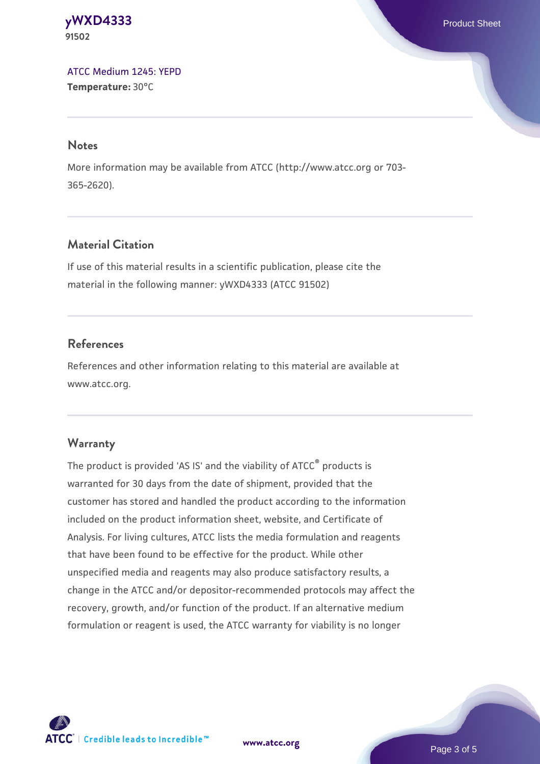#### **[yWXD4333](https://www.atcc.org/products/91502)** Product Sheet **91502**

[ATCC Medium 1245: YEPD](https://www.atcc.org/-/media/product-assets/documents/microbial-media-formulations/1/2/4/5/atcc-medium-1245.pdf?rev=705ca55d1b6f490a808a965d5c072196) **Temperature:** 30°C

#### **Notes**

More information may be available from ATCC (http://www.atcc.org or 703- 365-2620).

## **Material Citation**

If use of this material results in a scientific publication, please cite the material in the following manner: yWXD4333 (ATCC 91502)

## **References**

References and other information relating to this material are available at www.atcc.org.

## **Warranty**

The product is provided 'AS IS' and the viability of ATCC® products is warranted for 30 days from the date of shipment, provided that the customer has stored and handled the product according to the information included on the product information sheet, website, and Certificate of Analysis. For living cultures, ATCC lists the media formulation and reagents that have been found to be effective for the product. While other unspecified media and reagents may also produce satisfactory results, a change in the ATCC and/or depositor-recommended protocols may affect the recovery, growth, and/or function of the product. If an alternative medium formulation or reagent is used, the ATCC warranty for viability is no longer



**[www.atcc.org](http://www.atcc.org)**

Page 3 of 5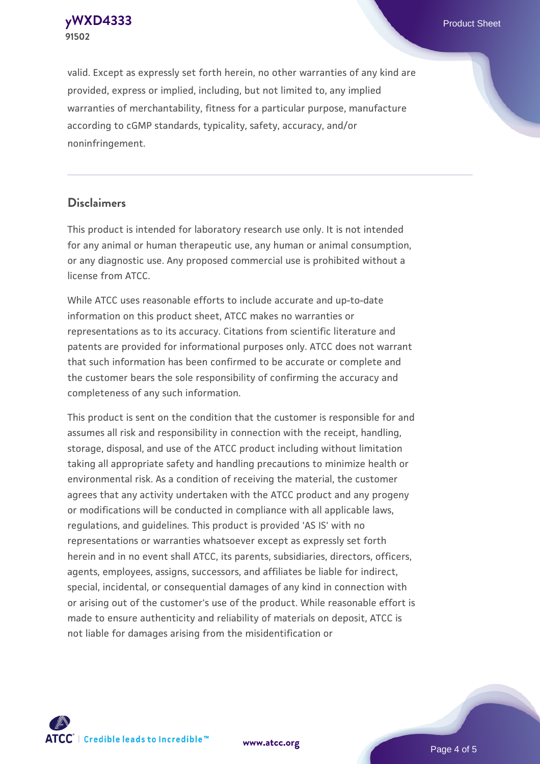**[yWXD4333](https://www.atcc.org/products/91502)** Product Sheet **91502**

valid. Except as expressly set forth herein, no other warranties of any kind are provided, express or implied, including, but not limited to, any implied warranties of merchantability, fitness for a particular purpose, manufacture according to cGMP standards, typicality, safety, accuracy, and/or noninfringement.

#### **Disclaimers**

This product is intended for laboratory research use only. It is not intended for any animal or human therapeutic use, any human or animal consumption, or any diagnostic use. Any proposed commercial use is prohibited without a license from ATCC.

While ATCC uses reasonable efforts to include accurate and up-to-date information on this product sheet, ATCC makes no warranties or representations as to its accuracy. Citations from scientific literature and patents are provided for informational purposes only. ATCC does not warrant that such information has been confirmed to be accurate or complete and the customer bears the sole responsibility of confirming the accuracy and completeness of any such information.

This product is sent on the condition that the customer is responsible for and assumes all risk and responsibility in connection with the receipt, handling, storage, disposal, and use of the ATCC product including without limitation taking all appropriate safety and handling precautions to minimize health or environmental risk. As a condition of receiving the material, the customer agrees that any activity undertaken with the ATCC product and any progeny or modifications will be conducted in compliance with all applicable laws, regulations, and guidelines. This product is provided 'AS IS' with no representations or warranties whatsoever except as expressly set forth herein and in no event shall ATCC, its parents, subsidiaries, directors, officers, agents, employees, assigns, successors, and affiliates be liable for indirect, special, incidental, or consequential damages of any kind in connection with or arising out of the customer's use of the product. While reasonable effort is made to ensure authenticity and reliability of materials on deposit, ATCC is not liable for damages arising from the misidentification or



**[www.atcc.org](http://www.atcc.org)**

Page 4 of 5